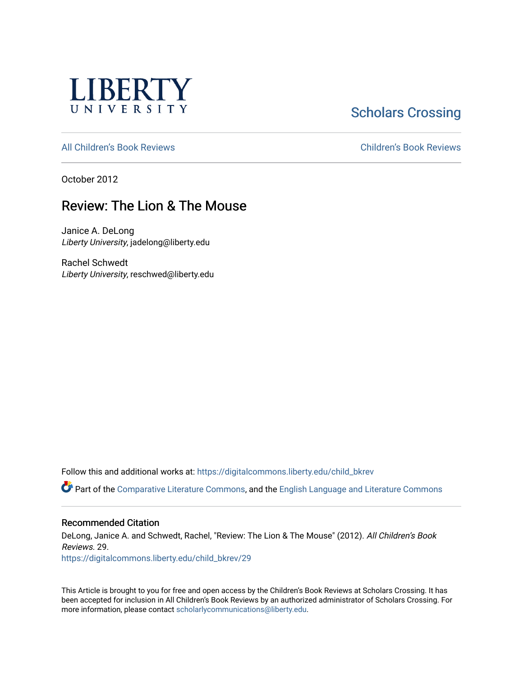

**Scholars Crossing** 

[All Children's Book Reviews](https://digitalcommons.liberty.edu/child_bkrev) [Children's Book Reviews](https://digitalcommons.liberty.edu/child_bookrev) 

October 2012

# Review: The Lion & The Mouse

Janice A. DeLong Liberty University, jadelong@liberty.edu

Rachel Schwedt Liberty University, reschwed@liberty.edu

Follow this and additional works at: [https://digitalcommons.liberty.edu/child\\_bkrev](https://digitalcommons.liberty.edu/child_bkrev?utm_source=digitalcommons.liberty.edu%2Fchild_bkrev%2F29&utm_medium=PDF&utm_campaign=PDFCoverPages) 

Part of the [Comparative Literature Commons](http://network.bepress.com/hgg/discipline/454?utm_source=digitalcommons.liberty.edu%2Fchild_bkrev%2F29&utm_medium=PDF&utm_campaign=PDFCoverPages), and the [English Language and Literature Commons](http://network.bepress.com/hgg/discipline/455?utm_source=digitalcommons.liberty.edu%2Fchild_bkrev%2F29&utm_medium=PDF&utm_campaign=PDFCoverPages)

#### Recommended Citation

DeLong, Janice A. and Schwedt, Rachel, "Review: The Lion & The Mouse" (2012). All Children's Book Reviews. 29.

[https://digitalcommons.liberty.edu/child\\_bkrev/29](https://digitalcommons.liberty.edu/child_bkrev/29?utm_source=digitalcommons.liberty.edu%2Fchild_bkrev%2F29&utm_medium=PDF&utm_campaign=PDFCoverPages)

This Article is brought to you for free and open access by the Children's Book Reviews at Scholars Crossing. It has been accepted for inclusion in All Children's Book Reviews by an authorized administrator of Scholars Crossing. For more information, please contact [scholarlycommunications@liberty.edu](mailto:scholarlycommunications@liberty.edu).